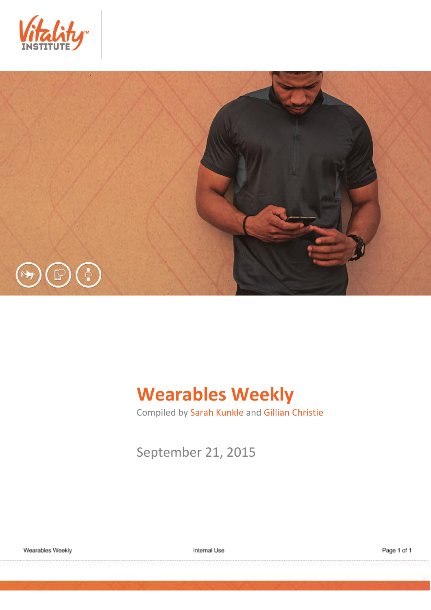



# **Wearables Weekly**

Compiled by Sarah Kunkle and Gillian Christie

September 21, 2015

Wearables Weekly

Internal Use

Page 1 of 1